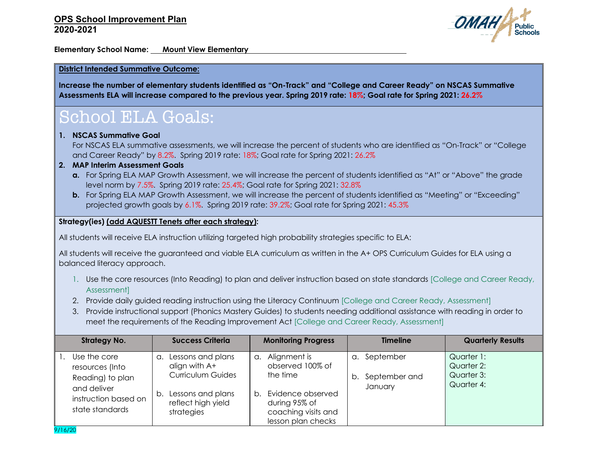

**Elementary School Name: Mount View Elementary**

#### **District Intended Summative Outcome:**

**Increase the number of elementary students identified as "On-Track" and "College and Career Ready" on NSCAS Summative Assessments ELA will increase compared to the previous year. Spring 2019 rate: 18%; Goal rate for Spring 2021: 26.2%**

## School ELA Goals:

#### **1. NSCAS Summative Goal**

9/16/20

For NSCAS ELA summative assessments, we will increase the percent of students who are identified as "On-Track" or "College and Career Ready" by 8.2%. Spring 2019 rate: 18%; Goal rate for Spring 2021: 26.2%

#### **2. MAP Interim Assessment Goals**

- **a.** For Spring ELA MAP Growth Assessment, we will increase the percent of students identified as "At" or "Above" the grade level norm by 7.5%. Spring 2019 rate: 25.4%; Goal rate for Spring 2021: 32.8%
- **b.** For Spring ELA MAP Growth Assessment, we will increase the percent of students identified as "Meeting" or "Exceeding" projected growth goals by 6.1%. Spring 2019 rate: 39.2%; Goal rate for Spring 2021: 45.3%

#### **Strategy(ies) (add AQUESTT Tenets after each strategy):**

All students will receive ELA instruction utilizing targeted high probability strategies specific to ELA:

All students will receive the guaranteed and viable ELA curriculum as written in the A+ OPS Curriculum Guides for ELA using a balanced literacy approach.

- 1. Use the core resources (Into Reading) to plan and deliver instruction based on state standards [College and Career Ready, Assessment]
- 2. Provide daily guided reading instruction using the Literacy Continuum [College and Career Ready, Assessment]
- 3. Provide instructional support (Phonics Mastery Guides) to students needing additional assistance with reading in order to meet the requirements of the Reading Improvement Act [College and Career Ready, Assessment]

| <b>Strategy No.</b>                                                                                           | <b>Success Criteria</b>                                                                                                                     | <b>Monitoring Progress</b>                                                                                                                  | <b>Timeline</b>                                           | <b>Quarterly Results</b>                             |
|---------------------------------------------------------------------------------------------------------------|---------------------------------------------------------------------------------------------------------------------------------------------|---------------------------------------------------------------------------------------------------------------------------------------------|-----------------------------------------------------------|------------------------------------------------------|
| Use the core<br>resources (Into<br>Reading) to plan<br>and deliver<br>instruction based on<br>state standards | Lessons and plans<br>$\alpha$ .<br>align with A+<br><b>Curriculum Guides</b><br>Lessons and plans<br>b.<br>reflect high yield<br>strategies | Alignment is<br>a.<br>observed 100% of<br>the time<br>Evidence observed<br>b.<br>during 95% of<br>coaching visits and<br>lesson plan checks | September<br>$\alpha$ .<br>September and<br>b.<br>January | Quarter 1:<br>Quarter 2:<br>Quarter 3:<br>Quarter 4: |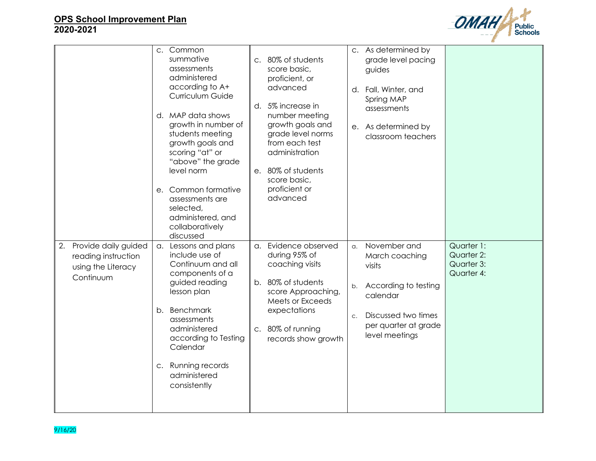

|                                                                                      | c. Common<br>summative<br>assessments<br>administered<br>according to A+<br>Curriculum Guide                                                                                                                                                                          | c. 80% of students<br>score basic,<br>proficient, or<br>advanced<br>d. 5% increase in                                                                                                | c. As determined by<br>grade level pacing<br>guides<br>d. Fall, Winter, and<br>Spring MAP<br>assessments                                                                                                                         |
|--------------------------------------------------------------------------------------|-----------------------------------------------------------------------------------------------------------------------------------------------------------------------------------------------------------------------------------------------------------------------|--------------------------------------------------------------------------------------------------------------------------------------------------------------------------------------|----------------------------------------------------------------------------------------------------------------------------------------------------------------------------------------------------------------------------------|
|                                                                                      | d. MAP data shows<br>growth in number of<br>students meeting<br>growth goals and<br>scoring "at" or<br>"above" the grade<br>level norm<br>e. Common formative<br>assessments are<br>selected,<br>administered, and<br>collaboratively                                 | number meeting<br>growth goals and<br>grade level norms<br>from each test<br>administration<br>e. 80% of students<br>score basic,<br>proficient or<br>advanced                       | e. As determined by<br>classroom teachers                                                                                                                                                                                        |
| Provide daily guided<br>2.<br>reading instruction<br>using the Literacy<br>Continuum | discussed<br>a. Lessons and plans<br>include use of<br>Continuum and all<br>components of a<br>guided reading<br>lesson plan<br>b. Benchmark<br>assessments<br>administered<br>according to Testing<br>Calendar<br>c. Running records<br>administered<br>consistently | a. Evidence observed<br>during 95% of<br>coaching visits<br>b. 80% of students<br>score Approaching,<br>Meets or Exceeds<br>expectations<br>c. 80% of running<br>records show growth | Quarter 1:<br>a. November and<br>Quarter 2:<br>March coaching<br>Quarter 3:<br>visits<br>Quarter 4:<br>According to testing<br>b.<br>calendar<br>Discussed two times<br>C <sub>1</sub><br>per quarter at grade<br>level meetings |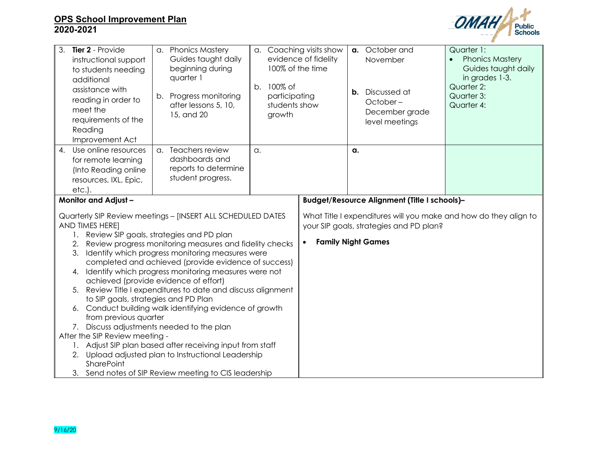

| 3. Tier 2 - Provide<br>instructional support<br>to students needing<br>additional<br>assistance with<br>reading in order to<br>meet the<br>requirements of the<br>Reading<br>Improvement Act                                                                                                                                                                                                                                                                                                                                                                                                                                                                                                                                                                                                                                         | a. Phonics Mastery<br>Guides taught daily<br>beginning during<br>quarter 1<br>b. Progress monitoring<br>after lessons 5, 10,<br>15, and 20 | a. Coaching visits show<br>100% of the time<br>b. 100% of<br>participating<br>students show<br>growth | evidence of fidelity                         |    | a. October and<br>November<br><b>b.</b> Discussed at<br>October-<br>December grade<br>level meetings | Quarter 1:<br><b>Phonics Mastery</b><br>$\bullet$<br>Guides taught daily<br>in grades 1-3.<br>Quarter 2:<br>Quarter 3:<br>Quarter 4: |
|--------------------------------------------------------------------------------------------------------------------------------------------------------------------------------------------------------------------------------------------------------------------------------------------------------------------------------------------------------------------------------------------------------------------------------------------------------------------------------------------------------------------------------------------------------------------------------------------------------------------------------------------------------------------------------------------------------------------------------------------------------------------------------------------------------------------------------------|--------------------------------------------------------------------------------------------------------------------------------------------|-------------------------------------------------------------------------------------------------------|----------------------------------------------|----|------------------------------------------------------------------------------------------------------|--------------------------------------------------------------------------------------------------------------------------------------|
| $\overline{4}$ .<br>Use online resources<br>for remote learning<br>(Into Reading online<br>resources, IXL, Epic,<br>$etc.$ ).                                                                                                                                                                                                                                                                                                                                                                                                                                                                                                                                                                                                                                                                                                        | a. Teachers review<br>dashboards and<br>reports to determine<br>student progress.                                                          | $\alpha$ .                                                                                            |                                              | a. |                                                                                                      |                                                                                                                                      |
| <b>Monitor and Adjust-</b>                                                                                                                                                                                                                                                                                                                                                                                                                                                                                                                                                                                                                                                                                                                                                                                                           |                                                                                                                                            |                                                                                                       | Budget/Resource Alignment (Title I schools)- |    |                                                                                                      |                                                                                                                                      |
| Quarterly SIP Review meetings - [INSERT ALL SCHEDULED DATES<br>AND TIMES HERE]<br>1. Review SIP goals, strategies and PD plan<br>Review progress monitoring measures and fidelity checks<br>2.<br>Identify which progress monitoring measures were<br>3.<br>completed and achieved (provide evidence of success)<br>4. Identify which progress monitoring measures were not<br>achieved (provide evidence of effort)<br>5. Review Title I expenditures to date and discuss alignment<br>to SIP goals, strategies and PD Plan<br>Conduct building walk identifying evidence of growth<br>6.<br>from previous quarter<br>7. Discuss adjustments needed to the plan<br>After the SIP Review meeting -<br>1. Adjust SIP plan based after receiving input from staff<br>2. Upload adjusted plan to Instructional Leadership<br>SharePoint |                                                                                                                                            |                                                                                                       | <b>Family Night Games</b><br>$\bullet$       |    | your SIP goals, strategies and PD plan?                                                              | What Title I expenditures will you make and how do they align to                                                                     |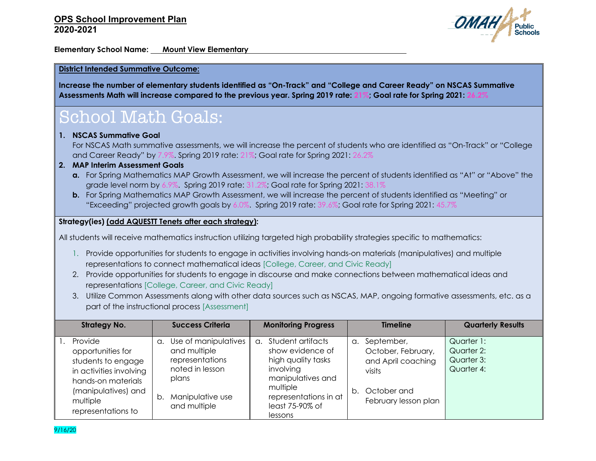

**Elementary School Name: Mount View Elementary**

#### **District Intended Summative Outcome:**

**Increase the number of elementary students identified as "On-Track" and "College and Career Ready" on NSCAS Summative Assessments Math will increase compared to the previous year. Spring 2019 rate: 21%; Goal rate for Spring 2021: 26.2%**

## School Math Goals:

#### **1. NSCAS Summative Goal**

For NSCAS Math summative assessments, we will increase the percent of students who are identified as "On-Track" or "College and Career Ready" by 7.9%. Spring 2019 rate: 21%; Goal rate for Spring 2021: 26.2%

### **2. MAP Interim Assessment Goals**

- **a.** For Spring Mathematics MAP Growth Assessment, we will increase the percent of students identified as "At" or "Above" the grade level norm by 6.9%. Spring 2019 rate: 31.2%; Goal rate for Spring 2021: 38.1%
- **b.** For Spring Mathematics MAP Growth Assessment, we will increase the percent of students identified as "Meeting" or "Exceeding" projected growth goals by 6.0%. Spring 2019 rate: 39.6%; Goal rate for Spring 2021: 45.7%

#### **Strategy(ies) (add AQUESTT Tenets after each strategy):**

All students will receive mathematics instruction utilizing targeted high probability strategies specific to mathematics:

- 1. Provide opportunities for students to engage in activities involving hands-on materials (manipulatives) and multiple representations to connect mathematical ideas [College, Career, and Civic Ready]
- 2. Provide opportunities for students to engage in discourse and make connections between mathematical ideas and representations [College, Career, and Civic Ready]
- 3. Utilize Common Assessments along with other data sources such as NSCAS, MAP, ongoing formative assessments, etc. as a part of the instructional process [Assessment]

| <b>Strategy No.</b>                                                                                                                                          | <b>Success Criteria</b>                                                                                                             | <b>Monitoring Progress</b>                                                                                                                                          | <b>Timeline</b>                                                                                                             | <b>Quarterly Results</b>                             |
|--------------------------------------------------------------------------------------------------------------------------------------------------------------|-------------------------------------------------------------------------------------------------------------------------------------|---------------------------------------------------------------------------------------------------------------------------------------------------------------------|-----------------------------------------------------------------------------------------------------------------------------|------------------------------------------------------|
| Provide<br>opportunities for<br>students to engage<br>in activities involving<br>hands-on materials<br>(manipulatives) and<br>multiple<br>representations to | Use of manipulatives<br>α.<br>and multiple<br>representations<br>noted in lesson<br>plans<br>Manipulative use<br>b.<br>and multiple | a. Student artifacts<br>show evidence of<br>high quality tasks<br>involving<br>manipulatives and<br>multiple<br>representations in at<br>least 75-90% of<br>lessons | September,<br>$\alpha$ .<br>October, February,<br>and April coaching<br>visits<br>October and<br>b.<br>February lesson plan | Quarter 1:<br>Quarter 2:<br>Quarter 3:<br>Quarter 4: |

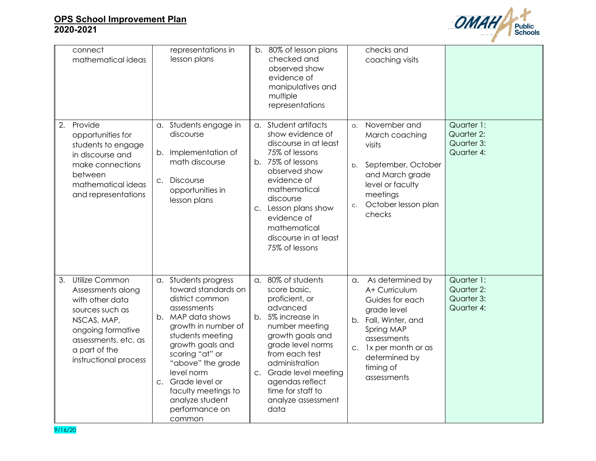

|    | connect<br>mathematical ideas                                                                                                                                                   |             | representations in<br>lesson plans                                                                                                                                                                                                                                                                              |                | b. 80% of lesson plans<br>checked and<br>observed show<br>evidence of<br>manipulatives and<br>multiple<br>representations                                                                                                                                                   |                                    | checks and<br>coaching visits                                                                                                                                                                  |                                                      |
|----|---------------------------------------------------------------------------------------------------------------------------------------------------------------------------------|-------------|-----------------------------------------------------------------------------------------------------------------------------------------------------------------------------------------------------------------------------------------------------------------------------------------------------------------|----------------|-----------------------------------------------------------------------------------------------------------------------------------------------------------------------------------------------------------------------------------------------------------------------------|------------------------------------|------------------------------------------------------------------------------------------------------------------------------------------------------------------------------------------------|------------------------------------------------------|
| 2. | Provide<br>opportunities for<br>students to engage<br>in discourse and<br>make connections<br>between<br>mathematical ideas<br>and representations                              | b.<br>C.    | a. Students engage in<br>discourse<br>Implementation of<br>math discourse<br><b>Discourse</b><br>opportunities in<br>lesson plans                                                                                                                                                                               | C.             | a. Student artifacts<br>show evidence of<br>discourse in at least<br>75% of lessons<br>b. 75% of lessons<br>observed show<br>evidence of<br>mathematical<br>discourse<br>Lesson plans show<br>evidence of<br>mathematical<br>discourse in at least<br>75% of lessons        | $\alpha$ .<br>b.<br>C <sub>1</sub> | November and<br>March coaching<br>visits<br>September, October<br>and March grade<br>level or faculty<br>meetings<br>October lesson plan<br>checks                                             | Quarter 1:<br>Quarter 2:<br>Quarter 3:<br>Quarter 4: |
| 3. | Utilize Common<br>Assessments along<br>with other data<br>sources such as<br>NSCAS, MAP,<br>ongoing formative<br>assessments, etc. as<br>a part of the<br>instructional process | $C_{\star}$ | a. Students progress<br>toward standards on<br>district common<br>assessments<br>b. MAP data shows<br>growth in number of<br>students meeting<br>growth goals and<br>scoring "at" or<br>"above" the grade<br>level norm<br>Grade level or<br>faculty meetings to<br>analyze student<br>performance on<br>common | a.<br>b.<br>C. | 80% of students<br>score basic,<br>proficient, or<br>advanced<br>5% increase in<br>number meeting<br>growth goals and<br>grade level norms<br>from each test<br>administration<br>Grade level meeting<br>agendas reflect<br>time for staff to<br>analyze assessment<br>data | $\alpha$ .                         | As determined by<br>A+ Curriculum<br>Guides for each<br>grade level<br>b. Fall, Winter, and<br>Spring MAP<br>assessments<br>c. 1x per month or as<br>determined by<br>timing of<br>assessments | Quarter 1:<br>Quarter 2:<br>Quarter 3:<br>Quarter 4: |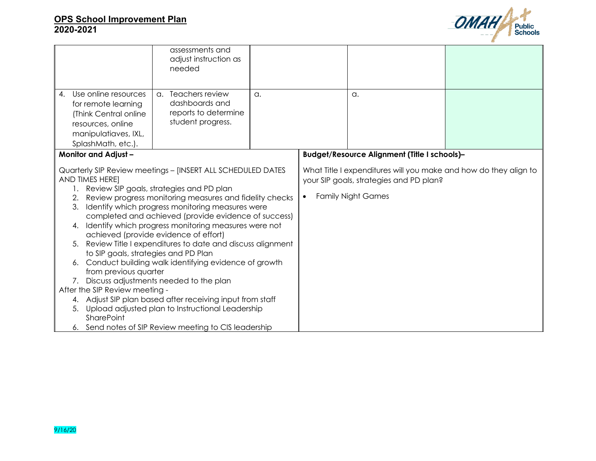

|                                                                                                                                                                                                                                                                                                                                                                                                                                                                                                                                                                                                                                                                                                                                                                                                                       | assessments and<br>adjust instruction as<br>needed                                |    |           |                                                                                                                                          |  |
|-----------------------------------------------------------------------------------------------------------------------------------------------------------------------------------------------------------------------------------------------------------------------------------------------------------------------------------------------------------------------------------------------------------------------------------------------------------------------------------------------------------------------------------------------------------------------------------------------------------------------------------------------------------------------------------------------------------------------------------------------------------------------------------------------------------------------|-----------------------------------------------------------------------------------|----|-----------|------------------------------------------------------------------------------------------------------------------------------------------|--|
| Use online resources<br>$\mathbf{4}$ .<br>for remote learning<br>(Think Central online<br>resources, online<br>manipulatiaves, IXL,<br>SplashMath, etc.).                                                                                                                                                                                                                                                                                                                                                                                                                                                                                                                                                                                                                                                             | a. Teachers review<br>dashboards and<br>reports to determine<br>student progress. | a. |           | a.                                                                                                                                       |  |
| <b>Monitor and Adjust-</b>                                                                                                                                                                                                                                                                                                                                                                                                                                                                                                                                                                                                                                                                                                                                                                                            |                                                                                   |    |           | Budget/Resource Alignment (Title I schools)-                                                                                             |  |
| Quarterly SIP Review meetings - [INSERT ALL SCHEDULED DATES<br>AND TIMES HERE]<br>Review SIP goals, strategies and PD plan<br>Review progress monitoring measures and fidelity checks<br>3. Identify which progress monitoring measures were<br>completed and achieved (provide evidence of success)<br>4. Identify which progress monitoring measures were not<br>achieved (provide evidence of effort)<br>5. Review Title I expenditures to date and discuss alignment<br>to SIP goals, strategies and PD Plan<br>6. Conduct building walk identifying evidence of growth<br>from previous quarter<br>7. Discuss adjustments needed to the plan<br>After the SIP Review meeting -<br>4. Adjust SIP plan based after receiving input from staff<br>5. Upload adjusted plan to Instructional Leadership<br>SharePoint |                                                                                   |    | $\bullet$ | What Title I expenditures will you make and how do they align to<br>your SIP goals, strategies and PD plan?<br><b>Family Night Games</b> |  |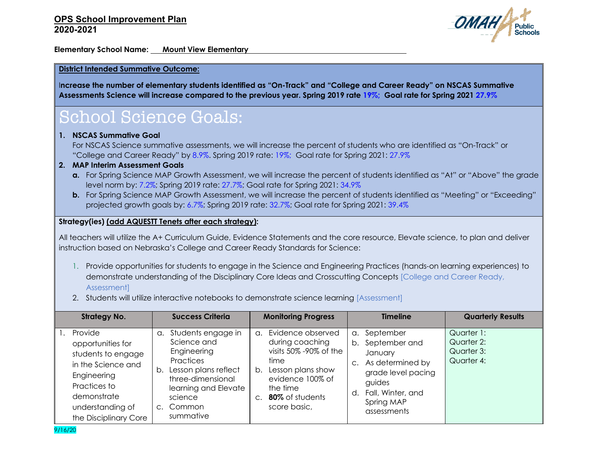

**Elementary School Name: Mount View Elementary**

#### **District Intended Summative Outcome:**

I**ncrease the number of elementary students identified as "On-Track" and "College and Career Ready" on NSCAS Summative Assessments Science will increase compared to the previous year. Spring 2019 rate 19%; Goal rate for Spring 2021 27.9%**

# School Science Goals:

#### **1. NSCAS Summative Goal**

For NSCAS Science summative assessments, we will increase the percent of students who are identified as "On-Track" or "College and Career Ready" by 8.9%. Spring 2019 rate: 19%; Goal rate for Spring 2021: 27.9%

#### **2. MAP Interim Assessment Goals**

- **a.** For Spring Science MAP Growth Assessment, we will increase the percent of students identified as "At" or "Above" the grade level norm by: 7.2%; Spring 2019 rate: 27.7%; Goal rate for Spring 2021: 34.9%
- **b.** For Spring Science MAP Growth Assessment, we will increase the percent of students identified as "Meeting" or "Exceeding" projected growth goals by: 6.7%; Spring 2019 rate: 32.7%; Goal rate for Spring 2021: 39.4%

#### **Strategy(ies) (add AQUESTT Tenets after each strategy):**

All teachers will utilize the A+ Curriculum Guide, Evidence Statements and the core resource, Elevate science, to plan and deliver instruction based on Nebraska's College and Career Ready Standards for Science:

- 1. Provide opportunities for students to engage in the Science and Engineering Practices (hands-on learning experiences) to demonstrate understanding of the Disciplinary Core Ideas and Crosscutting Concepts [College and Career Ready, Assessment]
- 2. Students will utilize interactive notebooks to demonstrate science learning [Assessment]

| <b>Strategy No.</b>                                                                                                                                                 | <b>Success Criteria</b>                                                                                                                                                                 | <b>Monitoring Progress</b>                                                                                                                                                                           | <b>Timeline</b>                                                                                                                                            | <b>Quarterly Results</b>                             |
|---------------------------------------------------------------------------------------------------------------------------------------------------------------------|-----------------------------------------------------------------------------------------------------------------------------------------------------------------------------------------|------------------------------------------------------------------------------------------------------------------------------------------------------------------------------------------------------|------------------------------------------------------------------------------------------------------------------------------------------------------------|------------------------------------------------------|
| Provide<br>opportunities for<br>students to engage<br>in the Science and<br>Engineering<br>Practices to<br>demonstrate<br>understanding of<br>the Disciplinary Core | a. Students engage in<br>Science and<br>Engineering<br><b>Practices</b><br>Lesson plans reflect<br>b.<br>three-dimensional<br>learning and Elevate<br>science<br>c. Common<br>summative | Evidence observed<br>$\Omega$ .<br>during coaching<br>visits 50% -90% of the<br>time<br>Lesson plans show<br>b.<br>evidence 100% of<br>the time<br>80% of students<br>C <sub>1</sub><br>score basic, | September<br>α.<br>b. September and<br>January<br>As determined by<br>grade level pacing<br>guides<br>Fall, Winter, and<br>d.<br>Spring MAP<br>assessments | Quarter 1:<br>Quarter 2:<br>Quarter 3:<br>Quarter 4: |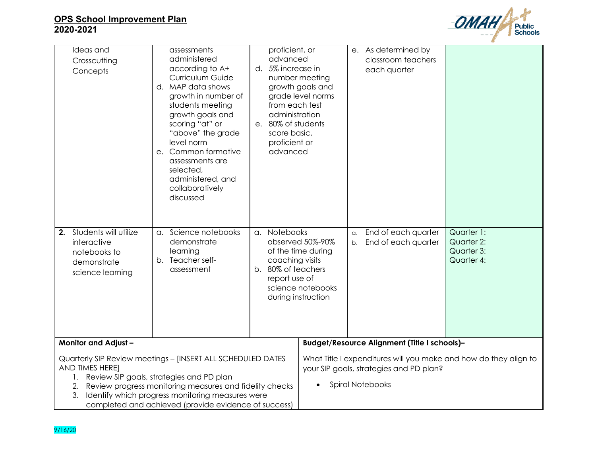

| Ideas and<br>Crosscutting<br>Concepts                                                                                                                                                                                                                                                                            | assessments<br>administered<br>according to A+<br>Curriculum Guide<br>d. MAP data shows<br>growth in number of<br>students meeting<br>growth goals and<br>scoring "at" or<br>"above" the grade<br>level norm<br>e. Common formative<br>assessments are<br>selected,<br>administered, and<br>collaboratively<br>discussed | proficient, or<br>advanced<br>d. 5% increase in<br>number meeting<br>growth goals and<br>grade level norms<br>from each test<br>administration<br>e. 80% of students<br>score basic,<br>proficient or<br>advanced |                                              | e. As determined by<br>each quarter                                | classroom teachers                         |                                                                  |
|------------------------------------------------------------------------------------------------------------------------------------------------------------------------------------------------------------------------------------------------------------------------------------------------------------------|--------------------------------------------------------------------------------------------------------------------------------------------------------------------------------------------------------------------------------------------------------------------------------------------------------------------------|-------------------------------------------------------------------------------------------------------------------------------------------------------------------------------------------------------------------|----------------------------------------------|--------------------------------------------------------------------|--------------------------------------------|------------------------------------------------------------------|
| Students will utilize<br>2.<br>interactive<br>notebooks to<br>demonstrate<br>science learning                                                                                                                                                                                                                    | a. Science notebooks<br>demonstrate<br>learning<br>b. Teacher self-<br>assessment                                                                                                                                                                                                                                        | a. Notebooks<br>observed 50%-90%<br>of the time during<br>coaching visits<br>b. 80% of teachers<br>report use of<br>science notebooks<br>during instruction                                                       |                                              | a.<br>b.                                                           | End of each quarter<br>End of each quarter | Quarter 1:<br>Quarter 2:<br>Quarter 3:<br>Quarter 4:             |
| <b>Monitor and Adjust-</b>                                                                                                                                                                                                                                                                                       |                                                                                                                                                                                                                                                                                                                          |                                                                                                                                                                                                                   | Budget/Resource Alignment (Title I schools)- |                                                                    |                                            |                                                                  |
| Quarterly SIP Review meetings - [INSERT ALL SCHEDULED DATES<br>AND TIMES HERE]<br>1. Review SIP goals, strategies and PD plan<br>Review progress monitoring measures and fidelity checks<br>2.<br>Identify which progress monitoring measures were<br>3.<br>completed and achieved (provide evidence of success) |                                                                                                                                                                                                                                                                                                                          |                                                                                                                                                                                                                   |                                              | your SIP goals, strategies and PD plan?<br><b>Spiral Notebooks</b> |                                            | What Title I expenditures will you make and how do they align to |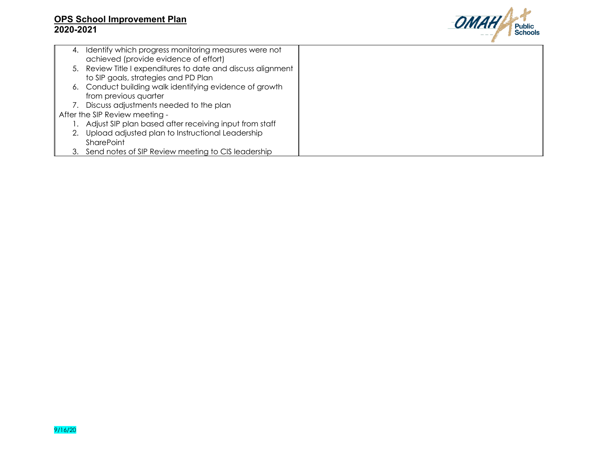

| 4. | Identify which progress monitoring measures were not         |  |
|----|--------------------------------------------------------------|--|
|    | achieved (provide evidence of effort)                        |  |
|    | 5. Review Title I expenditures to date and discuss alignment |  |
|    | to SIP goals, strategies and PD Plan                         |  |
|    | 6. Conduct building walk identifying evidence of growth      |  |
|    | from previous quarter                                        |  |
|    | Discuss adjustments needed to the plan                       |  |
|    | After the SIP Review meeting -                               |  |
|    | Adjust SIP plan based after receiving input from staff       |  |
|    | Upload adjusted plan to Instructional Leadership             |  |
|    | <b>SharePoint</b>                                            |  |
|    | Send notes of SIP Review meeting to CIS leadership           |  |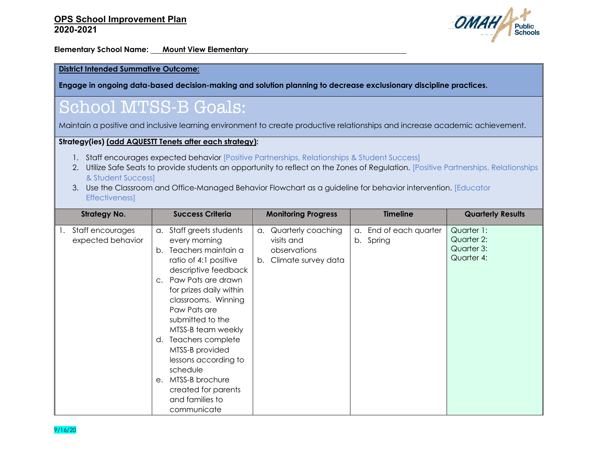

**Elementary School Name: Mount View Elementary** 

#### **District Intended Summative Outcome:**

**Engage in ongoing data-based decision-making and solution planning to decrease exclusionary discipline practices.**

# School MTSS-B Goals:

Maintain a positive and inclusive learning environment to create productive relationships and increase academic achievement.

#### **Strategy(ies) (add AQUESTT Tenets after each strategy):**

- 1. Staff encourages expected behavior [Positive Partnerships, Relationships & Student Success]
- 2. Utilize Safe Seats to provide students an opportunity to reflect on the Zones of Regulation. [Positive Partnerships, Relationships & Student Success]
- 3. Use the Classroom and Office-Managed Behavior Flowchart as a guideline for behavior intervention. [Educator Effectiveness]

| <b>Strategy No.</b>                         | <b>Success Criteria</b>                                                                                                                                                                                                                                                                                                                                                                                                                        | <b>Monitoring Progress</b>                                                          | <b>Timeline</b>                        | <b>Quarterly Results</b>                             |
|---------------------------------------------|------------------------------------------------------------------------------------------------------------------------------------------------------------------------------------------------------------------------------------------------------------------------------------------------------------------------------------------------------------------------------------------------------------------------------------------------|-------------------------------------------------------------------------------------|----------------------------------------|------------------------------------------------------|
| Staff encourages<br>1.<br>expected behavior | Staff greets students<br>$\alpha$ .<br>every morning<br>Teachers maintain a<br>b.<br>ratio of 4:1 positive<br>descriptive feedback<br>Paw Pats are drawn<br>C.<br>for prizes daily within<br>classrooms. Winning<br>Paw Pats are<br>submitted to the<br>MTSS-B team weekly<br>Teachers complete<br>d.<br>MTSS-B provided<br>lessons according to<br>schedule<br>MTSS-B brochure<br>e.<br>created for parents<br>and families to<br>communicate | Quarterly coaching<br>a.<br>visits and<br>observations<br>Climate survey data<br>b. | End of each quarter<br>a.<br>b. Spring | Quarter 1:<br>Quarter 2:<br>Quarter 3:<br>Quarter 4: |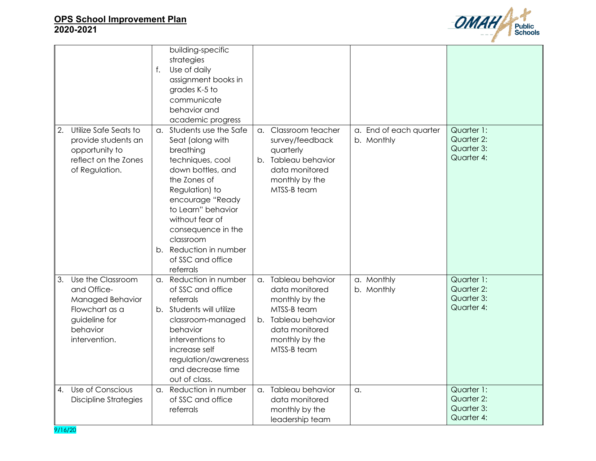

|                                                                                                                            | building-specific<br>strategies<br>Use of daily<br>f.<br>assignment books in<br>grades K-5 to<br>communicate<br>behavior and<br>academic progress                                                                                                                                                |                                                                                                                                                                              |                                                      |
|----------------------------------------------------------------------------------------------------------------------------|--------------------------------------------------------------------------------------------------------------------------------------------------------------------------------------------------------------------------------------------------------------------------------------------------|------------------------------------------------------------------------------------------------------------------------------------------------------------------------------|------------------------------------------------------|
| Utilize Safe Seats to<br>2.<br>provide students an<br>opportunity to<br>reflect on the Zones<br>of Regulation.             | a. Students use the Safe<br>Seat (along with<br>breathing<br>techniques, cool<br>down bottles, and<br>the Zones of<br>Regulation) to<br>encourage "Ready<br>to Learn" behavior<br>without fear of<br>consequence in the<br>classroom<br>b. Reduction in number<br>of SSC and office<br>referrals | Classroom teacher<br>a. End of each quarter<br>a.<br>survey/feedback<br>b. Monthly<br>quarterly<br>b. Tableau behavior<br>data monitored<br>monthly by the<br>MTSS-B team    | Quarter 1:<br>Quarter 2:<br>Quarter 3:<br>Quarter 4: |
| Use the Classroom<br>3.<br>and Office-<br>Managed Behavior<br>Flowchart as a<br>guideline for<br>behavior<br>intervention. | a. Reduction in number<br>of SSC and office<br>referrals<br>b. Students will utilize<br>classroom-managed<br>behavior<br>interventions to<br>increase self<br>regulation/awareness<br>and decrease time<br>out of class.                                                                         | a. Tableau behavior<br>a. Monthly<br>b. Monthly<br>data monitored<br>monthly by the<br>MTSS-B team<br>b. Tableau behavior<br>data monitored<br>monthly by the<br>MTSS-B team | Quarter 1:<br>Quarter 2:<br>Quarter 3:<br>Quarter 4: |
| Use of Conscious<br>$\overline{4}$ .<br><b>Discipline Strategies</b>                                                       | a. Reduction in number<br>of SSC and office<br>referrals                                                                                                                                                                                                                                         | a. Tableau behavior<br>$\alpha$ .<br>data monitored<br>monthly by the<br>leadership team                                                                                     | Quarter 1:<br>Quarter 2:<br>Quarter 3:<br>Quarter 4: |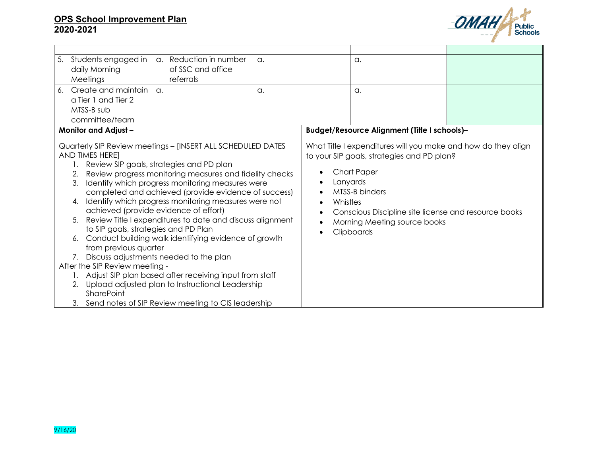

| 5.<br>Students engaged in                                                                                                                                | a. Reduction in number                                                                                                                                                                                                                                                                                                                                                                                                                                                                                                                                                                                                                                                                                                            | a. |                                    | a.                                                                                                                                                                                                                                                                    |  |
|----------------------------------------------------------------------------------------------------------------------------------------------------------|-----------------------------------------------------------------------------------------------------------------------------------------------------------------------------------------------------------------------------------------------------------------------------------------------------------------------------------------------------------------------------------------------------------------------------------------------------------------------------------------------------------------------------------------------------------------------------------------------------------------------------------------------------------------------------------------------------------------------------------|----|------------------------------------|-----------------------------------------------------------------------------------------------------------------------------------------------------------------------------------------------------------------------------------------------------------------------|--|
| daily Morning                                                                                                                                            | of SSC and office                                                                                                                                                                                                                                                                                                                                                                                                                                                                                                                                                                                                                                                                                                                 |    |                                    |                                                                                                                                                                                                                                                                       |  |
| Meetings                                                                                                                                                 | referrals                                                                                                                                                                                                                                                                                                                                                                                                                                                                                                                                                                                                                                                                                                                         |    |                                    |                                                                                                                                                                                                                                                                       |  |
| Create and maintain<br>6.                                                                                                                                | a.                                                                                                                                                                                                                                                                                                                                                                                                                                                                                                                                                                                                                                                                                                                                | a. |                                    | a.                                                                                                                                                                                                                                                                    |  |
| a Tier 1 and Tier 2                                                                                                                                      |                                                                                                                                                                                                                                                                                                                                                                                                                                                                                                                                                                                                                                                                                                                                   |    |                                    |                                                                                                                                                                                                                                                                       |  |
| MTSS-B sub                                                                                                                                               |                                                                                                                                                                                                                                                                                                                                                                                                                                                                                                                                                                                                                                                                                                                                   |    |                                    |                                                                                                                                                                                                                                                                       |  |
| committee/team                                                                                                                                           |                                                                                                                                                                                                                                                                                                                                                                                                                                                                                                                                                                                                                                                                                                                                   |    |                                    |                                                                                                                                                                                                                                                                       |  |
| <b>Monitor and Adjust-</b>                                                                                                                               |                                                                                                                                                                                                                                                                                                                                                                                                                                                                                                                                                                                                                                                                                                                                   |    |                                    | Budget/Resource Alignment (Title I schools)-                                                                                                                                                                                                                          |  |
| AND TIMES HERE]<br>2.<br>3.<br>4.<br>to SIP goals, strategies and PD Plan<br>6.<br>from previous quarter<br>After the SIP Review meeting -<br>SharePoint | Quarterly SIP Review meetings - [INSERT ALL SCHEDULED DATES<br>Review SIP goals, strategies and PD plan<br>Review progress monitoring measures and fidelity checks<br>Identify which progress monitoring measures were<br>completed and achieved (provide evidence of success)<br>Identify which progress monitoring measures were not<br>achieved (provide evidence of effort)<br>5. Review Title I expenditures to date and discuss alignment<br>Conduct building walk identifying evidence of growth<br>7. Discuss adjustments needed to the plan<br>1. Adjust SIP plan based after receiving input from staff<br>2. Upload adjusted plan to Instructional Leadership<br>3. Send notes of SIP Review meeting to CIS leadership |    | Whistles<br>$\bullet$<br>$\bullet$ | What Title I expenditures will you make and how do they align<br>to your SIP goals, strategies and PD plan?<br><b>Chart Paper</b><br>Lanyards<br>MTSS-B binders<br>Conscious Discipline site license and resource books<br>Morning Meeting source books<br>Clipboards |  |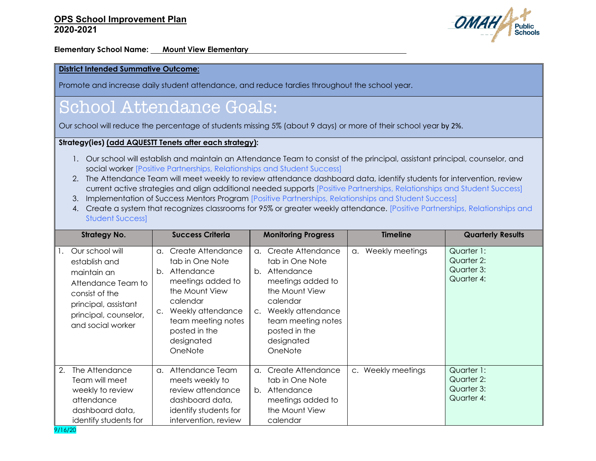

**Elementary School Name: Mount View Elementary**

#### **District Intended Summative Outcome:**

Promote and increase daily student attendance, and reduce tardies throughout the school year.

# School Attendance Goals:

Our school will reduce the percentage of students missing 5% (about 9 days) or more of their school year by 2%.

#### **Strategy(ies) (add AQUESTT Tenets after each strategy):**

- 1. Our school will establish and maintain an Attendance Team to consist of the principal, assistant principal, counselor, and social worker [Positive Partnerships, Relationships and Student Success]
- 2. The Attendance Team will meet weekly to review attendance dashboard data, identify students for intervention, review current active strategies and align additional needed supports [Positive Partnerships, Relationships and Student Success]
- 3. Implementation of Success Mentors Program [Positive Partnerships, Relationships and Student Success]
- 4. Create a system that recognizes classrooms for 95% or greater weekly attendance. [Positive Partnerships, Relationships and Student Success]

| <b>Strategy No.</b> |                                                                                                                                                               | <b>Success Criteria</b>    |                                                                                                                                                                                            | <b>Monitoring Progress</b>      |                                                                                                                                                                                            | <b>Timeline</b> |                    | <b>Quarterly Results</b>                             |
|---------------------|---------------------------------------------------------------------------------------------------------------------------------------------------------------|----------------------------|--------------------------------------------------------------------------------------------------------------------------------------------------------------------------------------------|---------------------------------|--------------------------------------------------------------------------------------------------------------------------------------------------------------------------------------------|-----------------|--------------------|------------------------------------------------------|
| 1.                  | Our school will<br>establish and<br>maintain an<br>Attendance Team to<br>consist of the<br>principal, assistant<br>principal, counselor,<br>and social worker | α.<br>b.<br>$\mathsf{C}$ . | Create Attendance<br>tab in One Note<br>Attendance<br>meetings added to<br>the Mount View<br>calendar<br>Weekly attendance<br>team meeting notes<br>posted in the<br>designated<br>OneNote | $\alpha$ .<br>b.<br>$C_{\star}$ | Create Attendance<br>tab in One Note<br>Attendance<br>meetings added to<br>the Mount View<br>calendar<br>Weekly attendance<br>team meeting notes<br>posted in the<br>designated<br>OneNote | a.              | Weekly meetings    | Quarter 1:<br>Quarter 2:<br>Quarter 3:<br>Quarter 4: |
| 2.                  | The Attendance<br>Team will meet<br>weekly to review<br>attendance<br>dashboard data,<br>identify students for                                                | $\alpha$ .                 | Attendance Team<br>meets weekly to<br>review attendance<br>dashboard data,<br>identify students for<br>intervention, review                                                                | $\alpha$ .<br>b.                | Create Attendance<br>tab in One Note<br>Attendance<br>meetings added to<br>the Mount View<br>calendar                                                                                      |                 | c. Weekly meetings | Quarter 1:<br>Quarter 2:<br>Quarter 3:<br>Quarter 4: |

9/16/20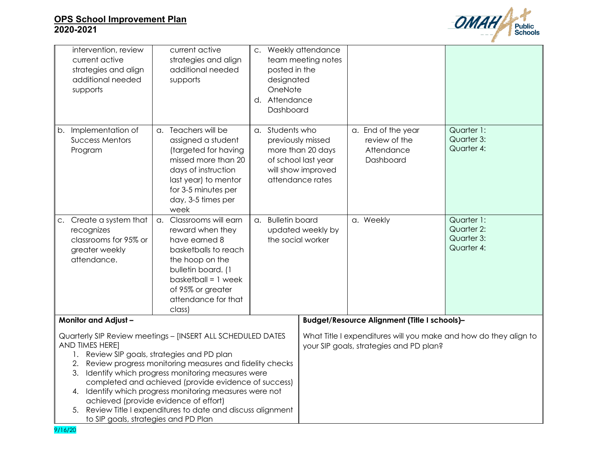

| intervention, review<br>current active<br>strategies and align<br>additional needed<br>supports | current active<br>strategies and align<br>additional needed<br>supports                                                                                                                                                                                                                                                                                                                                                                                  | C.<br>posted in the<br>designated<br>OneNote<br>d. Attendance<br>Dashboard | Weekly attendance<br>team meeting notes                                                                     |                                                                |                                                      |
|-------------------------------------------------------------------------------------------------|----------------------------------------------------------------------------------------------------------------------------------------------------------------------------------------------------------------------------------------------------------------------------------------------------------------------------------------------------------------------------------------------------------------------------------------------------------|----------------------------------------------------------------------------|-------------------------------------------------------------------------------------------------------------|----------------------------------------------------------------|------------------------------------------------------|
| Implementation of<br>b.<br><b>Success Mentors</b><br>Program                                    | a. Teachers will be<br>assigned a student<br>(targeted for having<br>missed more than 20<br>days of instruction<br>last year) to mentor<br>for 3-5 minutes per<br>day, 3-5 times per<br>week                                                                                                                                                                                                                                                             | a. Students who                                                            | previously missed<br>more than 20 days<br>of school last year<br>will show improved<br>attendance rates     | a. End of the year<br>review of the<br>Attendance<br>Dashboard | Quarter 1:<br>Quarter 3:<br>Quarter 4:               |
| c. Create a system that<br>recognizes<br>classrooms for 95% or<br>greater weekly<br>attendance. | a. Classrooms will earn<br>reward when they<br>have earned 8<br>basketballs to reach<br>the hoop on the<br>bulletin board. (1<br>$b$ asketball = 1 week<br>of 95% or greater<br>attendance for that<br>class)                                                                                                                                                                                                                                            | a. Bulletin board                                                          | updated weekly by<br>the social worker                                                                      | a. Weekly                                                      | Quarter 1:<br>Quarter 2:<br>Quarter 3:<br>Quarter 4: |
| <b>Monitor and Adjust-</b>                                                                      |                                                                                                                                                                                                                                                                                                                                                                                                                                                          |                                                                            | Budget/Resource Alignment (Title I schools)-                                                                |                                                                |                                                      |
| AND TIMES HERE]<br>2.<br>to SIP goals, strategies and PD Plan                                   | Quarterly SIP Review meetings - [INSERT ALL SCHEDULED DATES<br>1. Review SIP goals, strategies and PD plan<br>Review progress monitoring measures and fidelity checks<br>3. Identify which progress monitoring measures were<br>completed and achieved (provide evidence of success)<br>4. Identify which progress monitoring measures were not<br>achieved (provide evidence of effort)<br>5. Review Title I expenditures to date and discuss alignment |                                                                            | What Title I expenditures will you make and how do they align to<br>your SIP goals, strategies and PD plan? |                                                                |                                                      |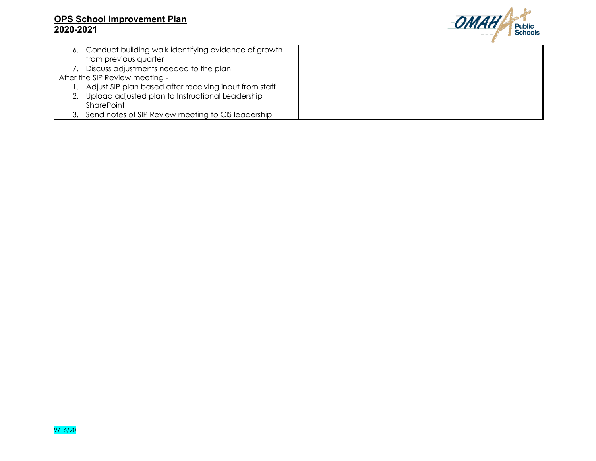

| 6. Conduct building walk identifying evidence of growth |  |
|---------------------------------------------------------|--|
| from previous quarter                                   |  |
| Discuss adjustments needed to the plan                  |  |
| After the SIP Review meeting -                          |  |
| Adjust SIP plan based after receiving input from staff  |  |
| Upload adjusted plan to Instructional Leadership        |  |
| <b>SharePoint</b>                                       |  |
| Send notes of SIP Review meeting to CIS leadership      |  |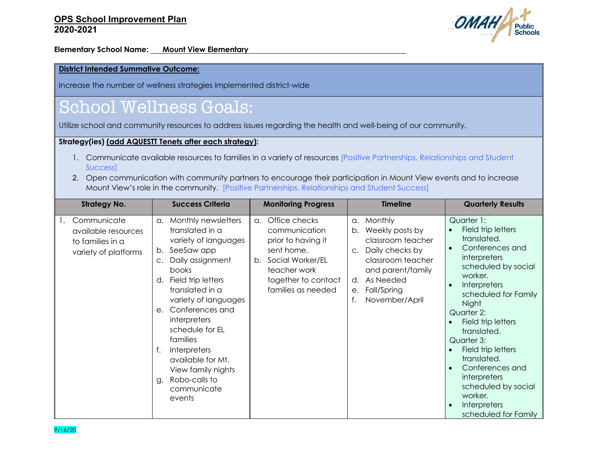

**Elementary School Name: Mount View Elementary** 

### **District Intended Summative Outcome:**

Increase the number of wellness strategies implemented district-wide

## School Wellness Goals:

Utilize school and community resources to address issues regarding the health and well-being of our community.

### **Strategy(ies) (add AQUESTT Tenets after each strategy):**

- 1. Communicate available resources to families in a variety of resources [Positive Partnerships, Relationships and Student Success]
- 2. Open communication with community partners to encourage their participation in Mount View events and to increase Mount View's role in the community. [Positive Partnerships, Relationships and Student Success]

| <b>Strategy No.</b>                                                            | <b>Success Criteria</b>                                                                                                                                                                                                                                                                                                                                                                                                                | <b>Monitoring Progress</b>                                                                                                                                      | <b>Timeline</b>                                                                                                                                                                                            | <b>Quarterly Results</b>                                                                                                                                                                                                                                                                                                                                                                                                                                   |
|--------------------------------------------------------------------------------|----------------------------------------------------------------------------------------------------------------------------------------------------------------------------------------------------------------------------------------------------------------------------------------------------------------------------------------------------------------------------------------------------------------------------------------|-----------------------------------------------------------------------------------------------------------------------------------------------------------------|------------------------------------------------------------------------------------------------------------------------------------------------------------------------------------------------------------|------------------------------------------------------------------------------------------------------------------------------------------------------------------------------------------------------------------------------------------------------------------------------------------------------------------------------------------------------------------------------------------------------------------------------------------------------------|
| Communicate<br>available resources<br>to families in a<br>variety of platforms | Monthly newsletters<br>$\alpha$ .<br>translated in a<br>variety of languages<br>SeeSaw app<br>b.<br>Daily assignment<br>$\mathsf{C}$ .<br><b>books</b><br>Field trip letters<br>d.<br>translated in a<br>variety of languages<br>Conferences and<br>е.<br>interpreters<br>schedule for EL<br>families<br>$f_{\perp}$<br><b>Interpreters</b><br>available for Mt.<br>View family nights<br>Robo-calls to<br>g.<br>communicate<br>events | Office checks<br>a.<br>communication<br>prior to having it<br>sent home.<br>Social Worker/EL<br>b.<br>teacher work<br>together to contact<br>families as needed | Monthly<br>a.<br>Weekly posts by<br>b.<br>classroom teacher<br>Daily checks by<br>$\mathsf{C}$ .<br>classroom teacher<br>and parent/family<br>As Needed<br>d.<br>Fall/Spring<br>е.<br>November/April<br>f. | Quarter 1:<br>Field trip letters<br>translated.<br>Conferences and<br>$\bullet$<br>interpreters<br>scheduled by social<br>worker.<br>Interpreters<br>$\bullet$<br>scheduled for Family<br>Night<br>Quarter 2:<br>Field trip letters<br>translated.<br>Quarter 3:<br>Field trip letters<br>translated.<br>Conferences and<br>$\bullet$<br><i>interpreters</i><br>scheduled by social<br>worker.<br><b>Interpreters</b><br>$\bullet$<br>scheduled for Family |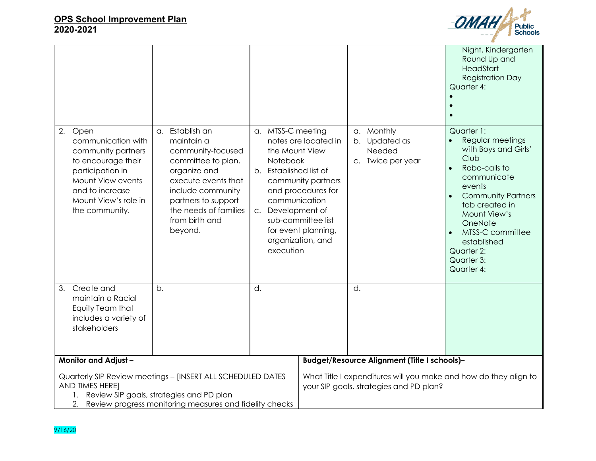

|                                                                                                                                                                                    |                                                                                                                                                                                                                   |                                                                                                                                 |                                                                                                                                    |                                                            | Night, Kindergarten<br>Round Up and<br>HeadStart<br><b>Registration Day</b><br>Quarter 4:                                                                                                                                                                                                 |
|------------------------------------------------------------------------------------------------------------------------------------------------------------------------------------|-------------------------------------------------------------------------------------------------------------------------------------------------------------------------------------------------------------------|---------------------------------------------------------------------------------------------------------------------------------|------------------------------------------------------------------------------------------------------------------------------------|------------------------------------------------------------|-------------------------------------------------------------------------------------------------------------------------------------------------------------------------------------------------------------------------------------------------------------------------------------------|
| 2.<br>Open<br>communication with<br>community partners<br>to encourage their<br>participation in<br>Mount View events<br>and to increase<br>Mount View's role in<br>the community. | a. Establish an<br>maintain a<br>community-focused<br>committee to plan,<br>organize and<br>execute events that<br>include community<br>partners to support<br>the needs of families<br>from birth and<br>beyond. | a. MTSS-C meeting<br>the Mount View<br>Notebook<br>b. Established list of<br>communication<br>Development of<br>C.<br>execution | notes are located in<br>community partners<br>and procedures for<br>sub-committee list<br>for event planning,<br>organization, and | a. Monthly<br>b. Updated as<br>Needed<br>c. Twice per year | Quarter 1:<br>Regular meetings<br>with Boys and Girls'<br>Club<br>Robo-calls to<br>$\bullet$<br>communicate<br>events<br><b>Community Partners</b><br>$\bullet$<br>tab created in<br>Mount View's<br>OneNote<br>MTSS-C committee<br>established<br>Quarter 2:<br>Quarter 3:<br>Quarter 4: |
| Create and<br>3.<br>maintain a Racial<br>Equity Team that<br>includes a variety of<br>stakeholders                                                                                 | b.                                                                                                                                                                                                                | d.                                                                                                                              |                                                                                                                                    | d.                                                         |                                                                                                                                                                                                                                                                                           |
| <b>Monitor and Adjust-</b>                                                                                                                                                         |                                                                                                                                                                                                                   |                                                                                                                                 | Budget/Resource Alignment (Title I schools)-                                                                                       |                                                            |                                                                                                                                                                                                                                                                                           |
| AND TIMES HERE]                                                                                                                                                                    | Quarterly SIP Review meetings - [INSERT ALL SCHEDULED DATES<br>1. Review SIP goals, strategies and PD plan<br>2. Review progress monitoring measures and fidelity checks                                          |                                                                                                                                 | What Title I expenditures will you make and how do they align to<br>your SIP goals, strategies and PD plan?                        |                                                            |                                                                                                                                                                                                                                                                                           |